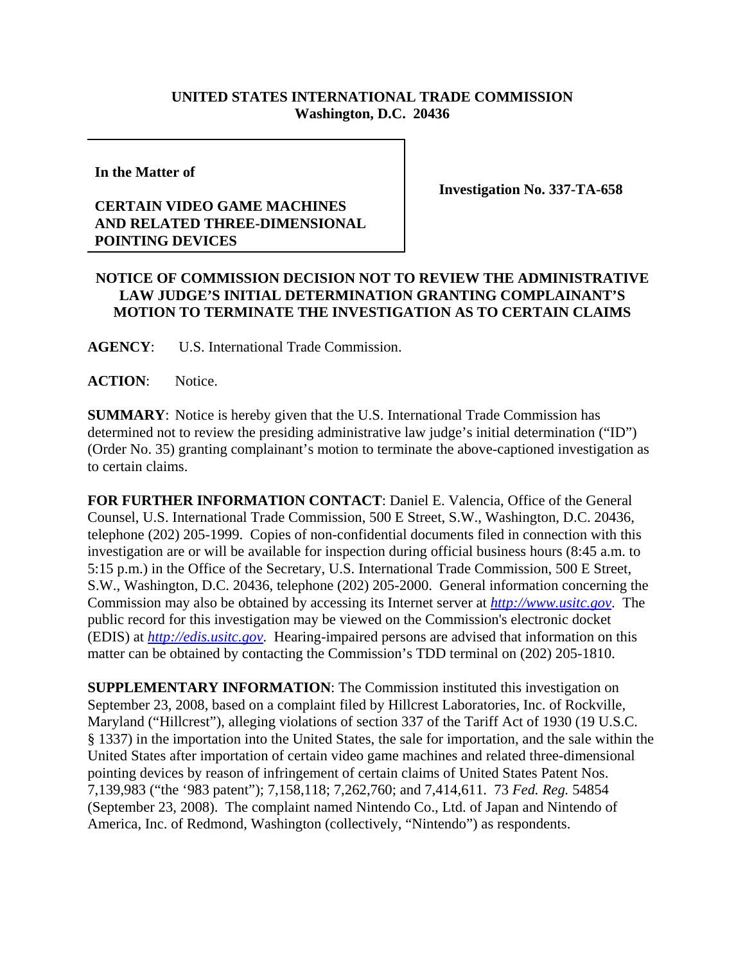## **UNITED STATES INTERNATIONAL TRADE COMMISSION Washington, D.C. 20436**

**In the Matter of** 

## **CERTAIN VIDEO GAME MACHINES AND RELATED THREE-DIMENSIONAL POINTING DEVICES**

**Investigation No. 337-TA-658**

## **NOTICE OF COMMISSION DECISION NOT TO REVIEW THE ADMINISTRATIVE LAW JUDGE'S INITIAL DETERMINATION GRANTING COMPLAINANT'S MOTION TO TERMINATE THE INVESTIGATION AS TO CERTAIN CLAIMS**

**AGENCY**: U.S. International Trade Commission.

ACTION: Notice.

**SUMMARY**: Notice is hereby given that the U.S. International Trade Commission has determined not to review the presiding administrative law judge's initial determination ("ID") (Order No. 35) granting complainant's motion to terminate the above-captioned investigation as to certain claims.

**FOR FURTHER INFORMATION CONTACT**: Daniel E. Valencia, Office of the General Counsel, U.S. International Trade Commission, 500 E Street, S.W., Washington, D.C. 20436, telephone (202) 205-1999. Copies of non-confidential documents filed in connection with this investigation are or will be available for inspection during official business hours (8:45 a.m. to 5:15 p.m.) in the Office of the Secretary, U.S. International Trade Commission, 500 E Street, S.W., Washington, D.C. 20436, telephone (202) 205-2000. General information concerning the Commission may also be obtained by accessing its Internet server at *http://www.usitc.gov*. The public record for this investigation may be viewed on the Commission's electronic docket (EDIS) at *http://edis.usitc.gov*. Hearing-impaired persons are advised that information on this matter can be obtained by contacting the Commission's TDD terminal on (202) 205-1810.

**SUPPLEMENTARY INFORMATION**: The Commission instituted this investigation on September 23, 2008, based on a complaint filed by Hillcrest Laboratories, Inc. of Rockville, Maryland ("Hillcrest"), alleging violations of section 337 of the Tariff Act of 1930 (19 U.S.C. § 1337) in the importation into the United States, the sale for importation, and the sale within the United States after importation of certain video game machines and related three-dimensional pointing devices by reason of infringement of certain claims of United States Patent Nos. 7,139,983 ("the '983 patent"); 7,158,118; 7,262,760; and 7,414,611. 73 *Fed. Reg.* 54854 (September 23, 2008). The complaint named Nintendo Co., Ltd. of Japan and Nintendo of America, Inc. of Redmond, Washington (collectively, "Nintendo") as respondents.